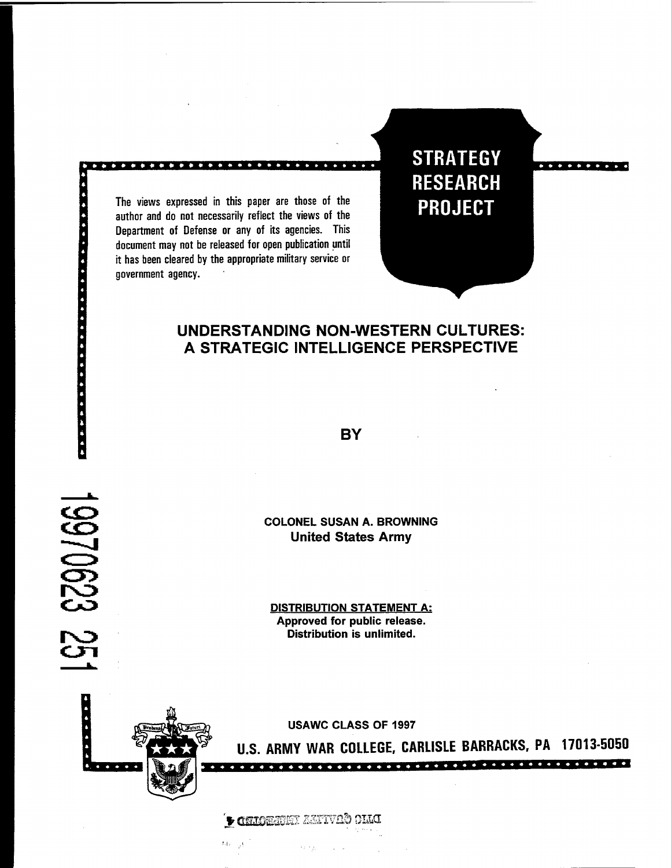The views expressed in this paper are those of the author and do not necessarily reflect the views of the Department of Defense or any of its agencies. This document may not be released for open publication until it has been cleared by the appropriate military service or government agency.

|<br>|<br>|<br>|

....

**. . . . . . . . . . . . . . . . .** 

19970623 25

**STRATEGY RESEARCH PROJECT** 

### **UNDERSTANDING NON-WESTERN CULTURES: A STRATEGIC INTELLIGENCE PERSPECTIVE**

**BY** 

**COLONEL SUSAN A. BROWNING United States Army** 

**DISTRIBUTION STATEMENT A: Approved for public release. Distribution is unlimited.** 

**USAWC CLASS OF 1997** 

**U.S. ARMY WAR COLLEGE, CARLISLE BARRACKS, PA 1701 3-5050** 

**DAIO CONTEABRE AGENCIE O COMPTERED**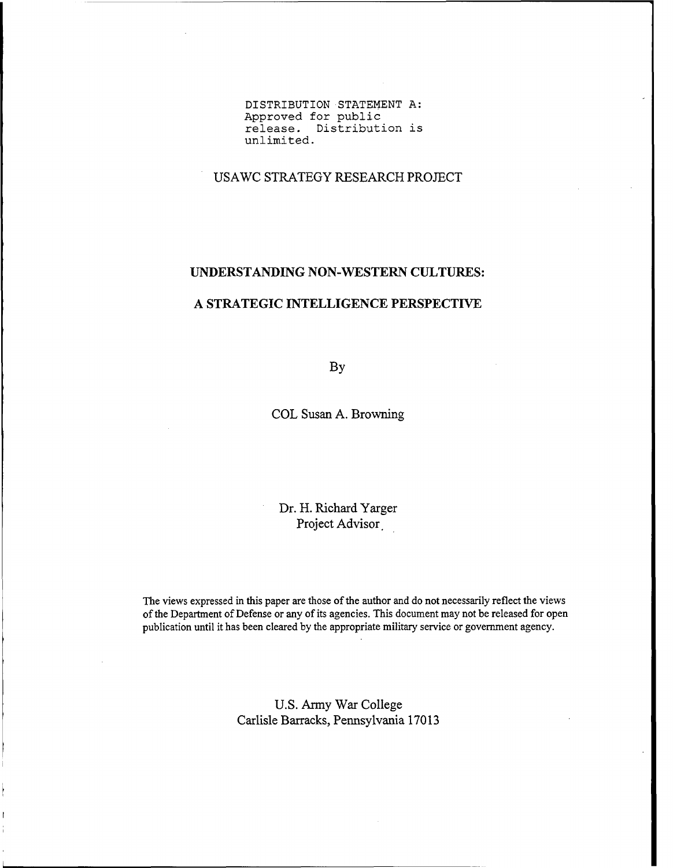**DISTRIBUTION STATEMENT A: Approved for public release. Distribution is unlimited.** 

USAWC STRATEGY RESEARCH PROJECT

### **UNDERSTANDING NON-WESTERN CULTURES:**

### **A STRATEGIC INTELLIGENCE PERSPECTIVE**

**By** 

COL Susan A. Browning

Dr. H. Richard Yarger Project Advisor

The views expressed in this paper are those of the author and do not necessarily reflect the views of the Department of Defense or any of its agencies. This document may not be released for open publication until it has been cleared by the appropriate military service or government agency.

> U.S. Army War College Carlisle Barracks, Pennsylvania 1701 **3**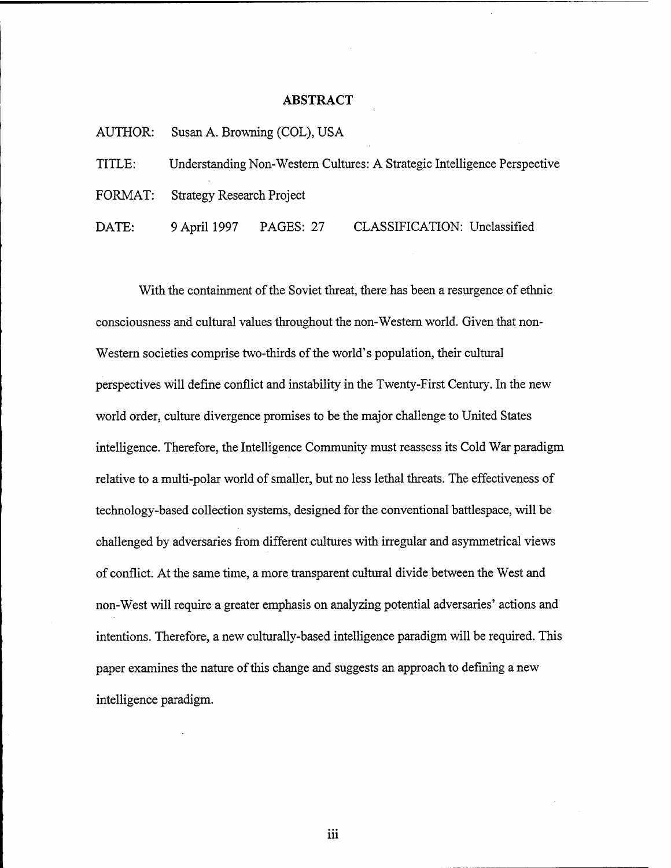### **ABSTRACT**

|        |                                                                          | AUTHOR: Susan A. Browning (COL), USA |                              |  |  |
|--------|--------------------------------------------------------------------------|--------------------------------------|------------------------------|--|--|
| TITLE: | Understanding Non-Western Cultures: A Strategic Intelligence Perspective |                                      |                              |  |  |
|        | FORMAT: Strategy Research Project                                        |                                      |                              |  |  |
| DATE:  | 9 April 1997                                                             | PAGES: 27                            | CLASSIFICATION: Unclassified |  |  |

With the containment of the Soviet threat, there has been a resurgence of ethnic consciousness and cultural values throughout the non-Western world. Given that non-Western societies comprise two-thirds of the world's population, their cultural perspectives will define conflict and instability in the Twenty-First Century. In the new world order, culture divergence promises to be the major challenge to United States intelligence. Therefore, the Intelligence Community must reassess its Cold War paradigm relative to a multi-polar world of smaller, but no less lethal threats. The effectiveness of technology-based collection systems, designed for the conventional battlespace, will be challenged by adversaries fiom different cultures with irregular and asymmetrical views of conflict. At the same time, a more transparent cultural divide between the West and non-West will require a greater emphasis on analyzing potential adversaries' actions and intentions. Therefore, a new culturally-based intelligence paradigm will be required. This paper examines the nature of this change and suggests an approach to defining a new intelligence paradigm.

iii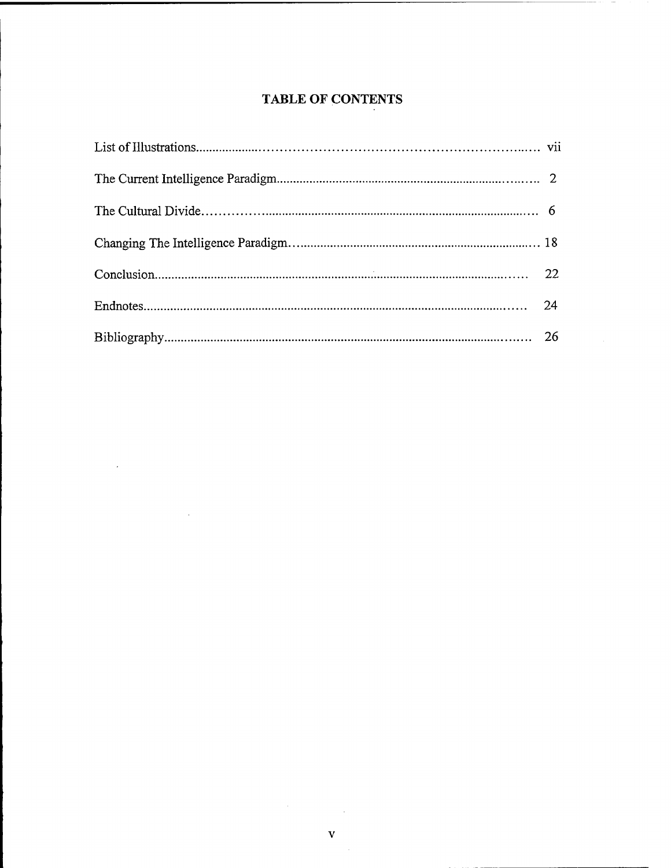## TABLE OF CONTENTS

 $\ddot{\phantom{a}}$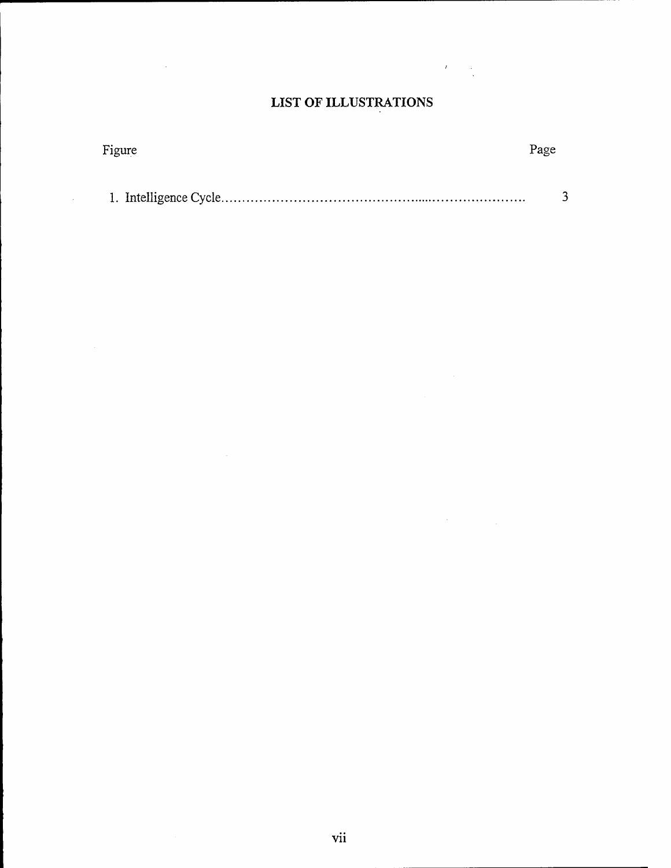## **LIST OF ILLUSTRATIONS**

 $\label{eq:2} \mathcal{L} = \mathcal{L} \left( \mathcal{L} \right) = \mathcal{L} \left( \mathcal{L} \right)$ 

 $\label{eq:2.1} \frac{1}{\sqrt{2}}\sum_{i=1}^n\frac{1}{\sqrt{2}}\sum_{i=1}^n\frac{1}{\sqrt{2}}\sum_{i=1}^n\frac{1}{\sqrt{2}}\sum_{i=1}^n\frac{1}{\sqrt{2}}\sum_{i=1}^n\frac{1}{\sqrt{2}}\sum_{i=1}^n\frac{1}{\sqrt{2}}\sum_{i=1}^n\frac{1}{\sqrt{2}}\sum_{i=1}^n\frac{1}{\sqrt{2}}\sum_{i=1}^n\frac{1}{\sqrt{2}}\sum_{i=1}^n\frac{1}{\sqrt{2}}\sum_{i=1}^n\frac$ 

| Figure |  |
|--------|--|
|        |  |
|        |  |

 $\mathcal{L}^{\text{max}}_{\text{max}}$  and  $\mathcal{L}^{\text{max}}_{\text{max}}$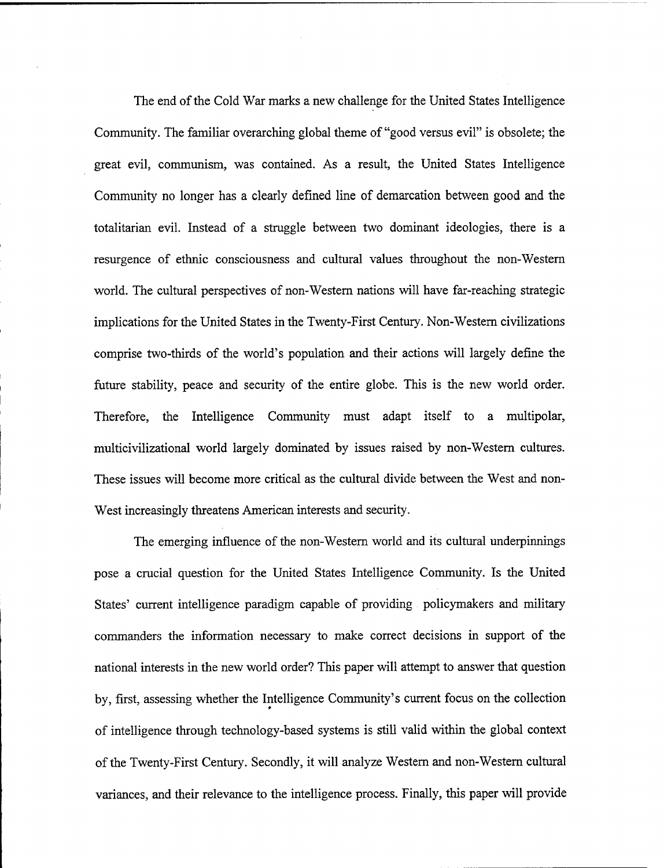The end of the Cold War marks a new challenge for the United States Intelligence Community. The familiar overarching global theme of "good versus evil" is obsolete; the great evil, communism, was contained. As a result, the United States Intelligence Community no longer has a clearly defined line of demarcation between good and the totalitarian evil. Instead of a struggle between two dominant ideologies, there is a resurgence of ethnic consciousness and cultural values throughout the non-Western world. The cultural perspectives of non-Western nations will have far-reaching strategic implications for the United States in the Twenty-First Century. Non-Western civilizations comprise two-thirds of the world's population and their actions will largely define the future stability, peace and security of the entire globe. This is the new world order. Therefore, the Intelligence Community must adapt itself to a multipolar, multicivilizational world largely dominated by issues raised by non-Western cultures. These issues will become more critical as the cultural divide between the West and non-West increasingly threatens American interests and security.

The emerging influence of the non-Western world and its cultural underpinnings pose a crucial question for the United States Intelligence Community. Is the United States' current intelligence paradigm capable of providing policymakers and military commanders the information necessary to make correct decisions in support of the national interests in the new world order? This paper will attempt to answer that question by, first, assessing whether the Intelligence Community's current focus on the collection . of intelligence through technology-based systems is still valid within the global context of the Twenty-First Century. Secondly, it will analyze Western and non-Western cultural variances, and their relevance to the intelligence process. Finally, this paper will provide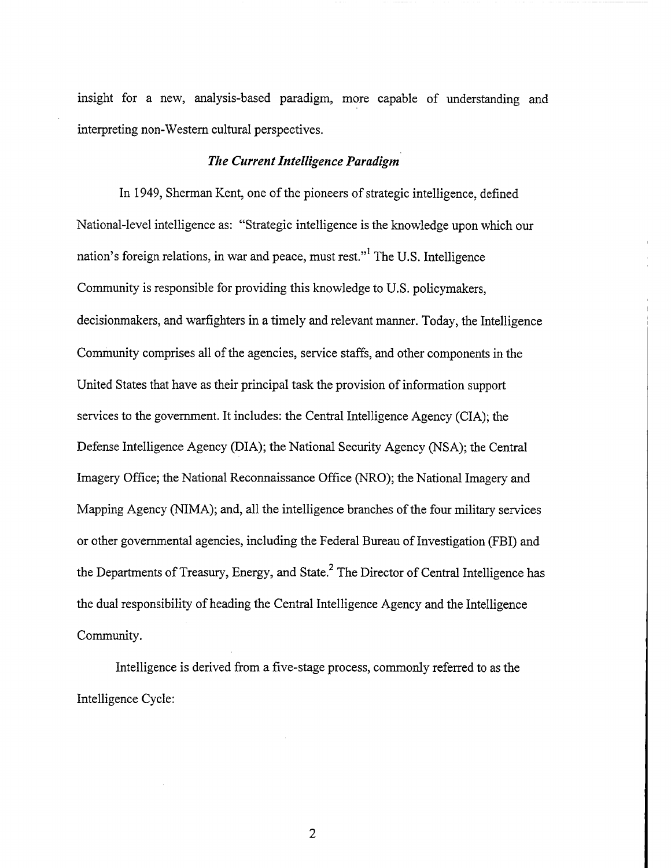insight for a new, analysis-based paradigm, more capable of understanding and interpreting non-Western cultural perspectives.

### *The Current Intelligence Paradigm*

In 1949, Sherman Kent, one of the pioneers of strategic intelligence, defined National-level intelligence as: "Strategic intelligence is the knowledge upon which our nation's foreign relations, in war and peace, must rest."' The U.S. Intelligence Community is responsible for providing this knowledge to U.S. policymakers, decisionmakers, and warfighters in a timely and relevant manner. Today, the Intelligence Community comprises all of the agencies, service staffs, and other components in the United States that have as their principal task the provision of information support services to the government. It includes: the Central Intelligence Agency (CIA); the Defense Intelligence Agency (DIA); the National Security Agency (NSA); the Central Imagery Office; the National Reconnaissance Office (NRO); the National Imagery and Mapping Agency (NIMA); and, all the intelligence branches of the four military services or other governmental agencies, including the Federal Bureau of Investigation (FBI) and the Departments of Treasury, Energy, and State.<sup>2</sup> The Director of Central Intelligence has the dual responsibility of heading the Central Intelligence Agency and the Intelligence Community.

Intelligence is derived from a five-stage process, commonly referred to as the Intelligence Cycle: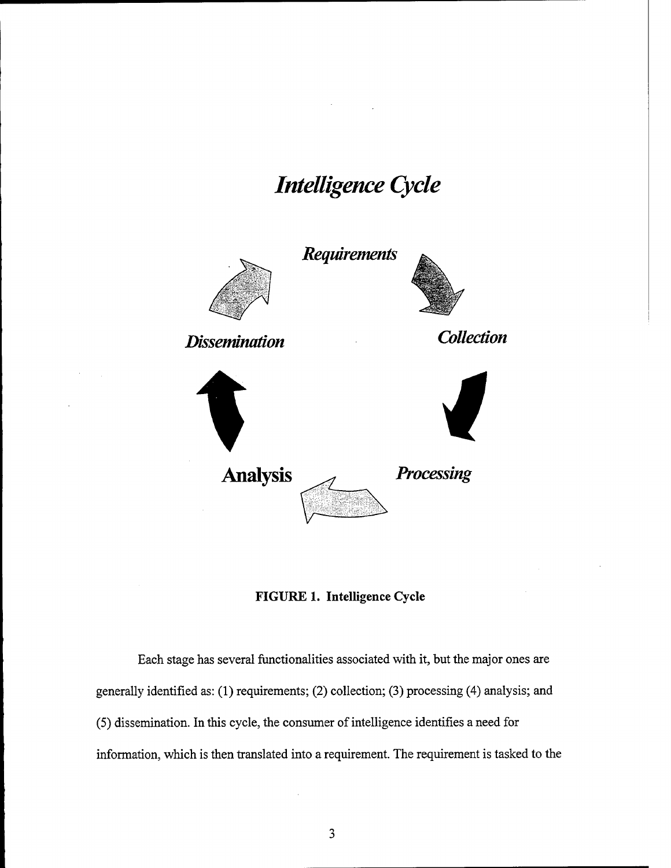# *Intelligence Cycle*



**FIGURE 1. Intelligence Cycle** 

Each stage has several functionalities associated with it, but the major ones are generally identified as: (1) requirements; (2) collection; **(3)** processing (4) analysis; and (5) dissemination. In this cycle, the consumer of intelligence identifies a need for information, which is then translated into a requirement. The requirement is tasked to the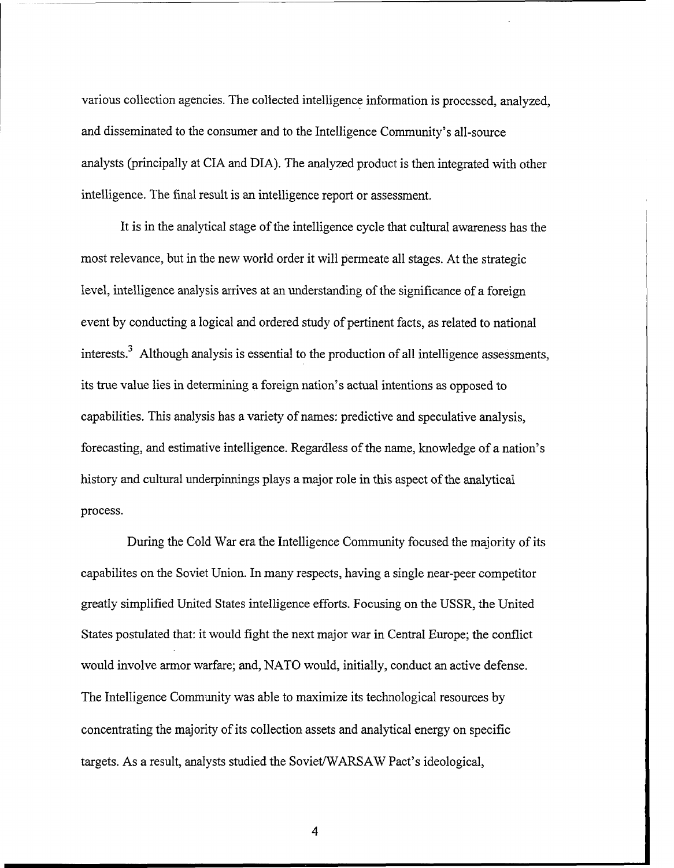various collection agencies. The collected intelligence information is processed, analyzed, and disseminated to the consumer and to the Intelligence Community's all-source analysts (principally at CIA and DIA). The analyzed product is then integrated with other intelligence. The final result is an intelligence report or assessment.

It is in the analytical stage of the intelligence cycle that cultural awareness has the most relevance, but in the new world order it will permeate all stages. At the strategic level, intelligence analysis arrives at an understanding of the significance of a foreign event by conducting a logical and ordered study of pertinent facts, as related to national interests.<sup>3</sup> Although analysis is essential to the production of all intelligence assessments, its true value lies in determining a foreign nation's actual intentions as opposed to capabilities. This analysis has a variety of names: predictive and speculative analysis, forecasting, and estimative intelligence. Regardless of the name, knowledge of a nation's history and cultural underpinnings plays a major role in this aspect of the analytical process.

During the Cold War era the Intelligence Community focused the majority of its capabilites on the Soviet Union. In many respects, having a single near-peer competitor greatly simplified United States intelligence efforts. Focusing on the USSR, the United States postulated that: it would fight the next major war in Central Europe; the conflict would involve armor warfare; and, NATO would, initially, conduct an active defense. The Intelligence Community was able to maximize its technological resources by concentrating the majority of its collection assets and analytical energy on specific targets. As a result, analysts studied the Soviet/WARSAW Pact's ideological,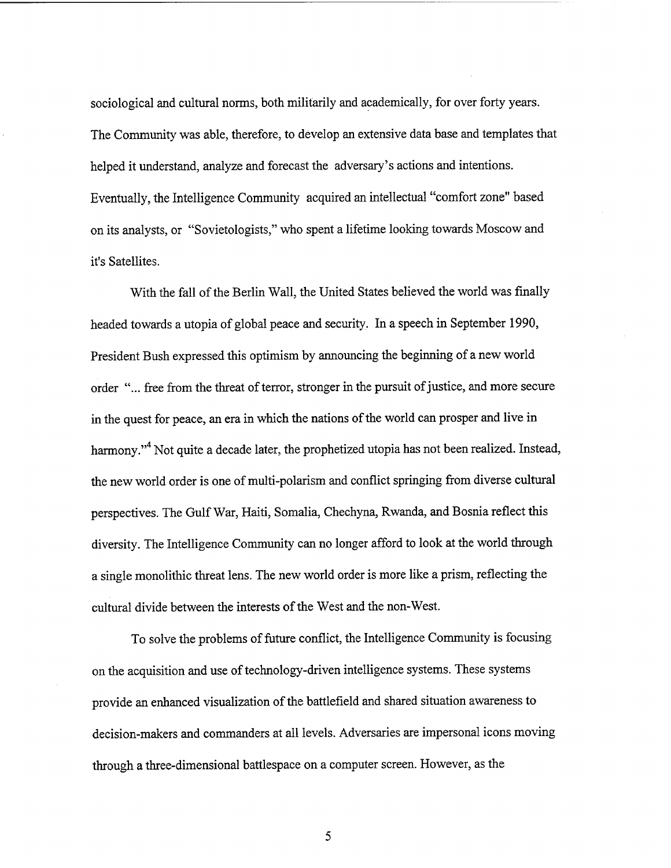sociological and cultural norms, both militarily and academically, for over forty years. The Community was able, therefore, to develop an extensive data base and templates that helped it understand, analyze and forecast the adversary's actions and intentions. Eventually, the Intelligence Community acquired an intellectual "comfort zone" based on its analysts, or "Sovietologists," who spent a lifetime looking towards Moscow and it's Satellites.

With the fall of the Berlin Wall, the United States believed the world was finally headed towards a utopia of global peace and security. In a speech in September 1990, President Bush expressed this optimism by announcing the beginning of a new world order "... free from the threat of terror, stronger in the pursuit of justice, and more secure in the quest for peace, an era in which the nations of the world can prosper and live in harmony."<sup>4</sup> Not quite a decade later, the prophetized utopia has not been realized. Instead, the new world order is one of multi-polarism and conflict springing from diverse cultural perspectives. The Gulf War, Haiti, Somalia, Chechyna, Rwanda, and Bosnia reflect this diversity. The Intelligence Community can no longer afford to look at the world through a single monolithic threat lens. The new world order is more like a prism, reflecting the cultural divide between the interests of the West and the non-West.

To solve the problems of future conflict, the Intelligence Community is focusing on the acquisition and use of technology-driven intelligence systems. These systems provide an enhanced visualization of the battlefield and shared situation awareness to decision-makers and commanders at all levels. Adversaries are impersonal icons moving through a three-dimensional battlespace on a computer screen. However, as the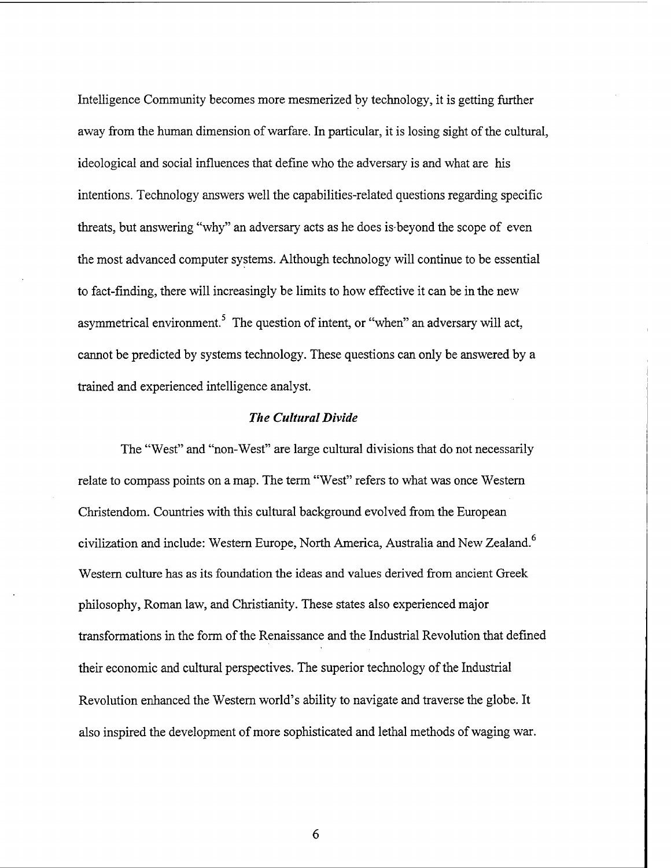Intelligence Community becomes more mesmerized by technology, it is getting further away fiom the human dimension of warfare. In particular, it is losing sight of the cultural, ideological and social influences that define who the adversary is and what are his intentions. Technology answers well the capabilities-related questions regarding specific threats, but answering "why" an adversary acts as he does is-beyond the scope of even the most advanced computer systems. Although technology will continue to be essential to fact-finding, there will increasingly be limits to how effective it can be in the new asymmetrical environment.<sup>5</sup> The question of intent, or "when" an adversary will act, cannot be predicted by systems technology. These questions can only be answered by a trained and experienced intelligence analyst.

### *The Cultural Divide*

The "West" and "non-West" are large cultural divisions that do not necessarily relate to compass points on a map. The term "West" refers to what was once Western Christendom. Countries with this cultural background evolved fiom the European civilization and include: Western Europe, North America, Australia and New Zealand. $^{6}$ Western culture has as its foundation the ideas and values derived from ancient Greek philosophy, Roman law, and Christianity. These states also experienced major transformations in the form of the Renaissance and the Industrial Revolution that defined their economic and cultural perspectives. The superior technology of the Industrial Revolution enhanced the Western world's ability to navigate and traverse the globe. It also inspired the development of more sophisticated and lethal methods of waging war.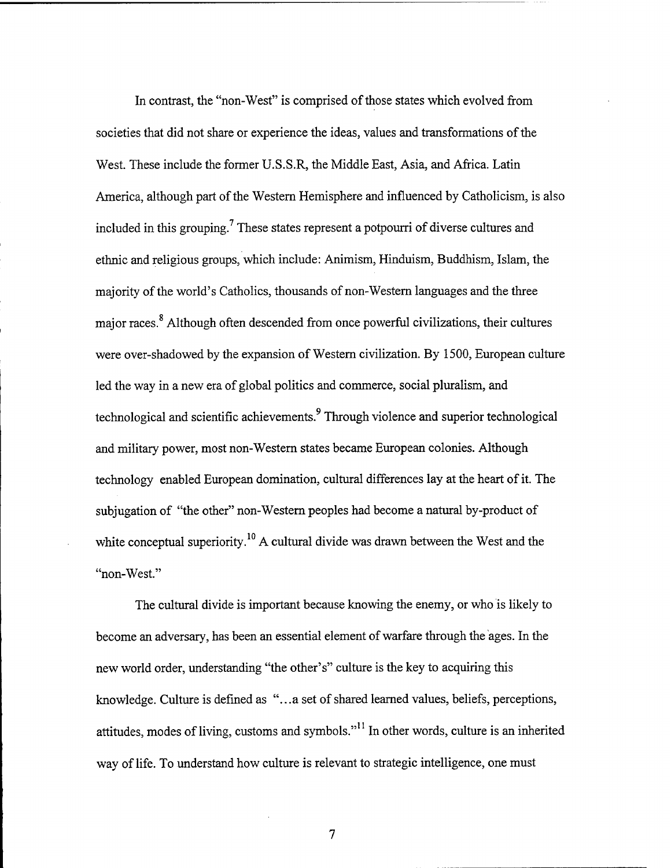In contrast, the "non-West" is comprised of those states which evolved from societies that did not share or experience the ideas, values and transformations of the West. These include the former U.S.S.R, the Middle East, Asia, and Africa. Latin America, although part of the Western Hemisphere and influenced by Catholicism, is also included in this grouping.<sup>7</sup> These states represent a potpourri of diverse cultures and ethnic and religious groups, which include: Animism, Hinduism, Buddhism, Islam, the majority of the world's Catholics, thousands of non-Western languages and the three major races.<sup>8</sup> Although often descended from once powerful civilizations, their cultures were over-shadowed by the expansion of Western civilization. By 1500, European culture led the way in a new era of global politics and commerce, social pluralism, and technological and scientific achievements.<sup>9</sup> Through violence and superior technological and military power, most non-Western states became European colonies. Although technology enabled European domination, cultural differences lay at the heart of it. The subjugation of "the other" non-Western peoples had become a natural by-product of white conceptual superiority.<sup>10</sup> A cultural divide was drawn between the West and the "non-West."

The cultural divide is important because knowing the enemy, or who is likely to become an adversary, has been an essential element of warfare through the ages. In the new world order, understanding "the other's" culture is the key to acquiring this knowledge. Culture is defined as "...a set of shared learned values, beliefs, perceptions, attitudes, modes of living, customs and symbols."" In other words, culture is an inherited way of life. To understand how culture is relevant to strategic intelligence, one must

 $\overline{7}$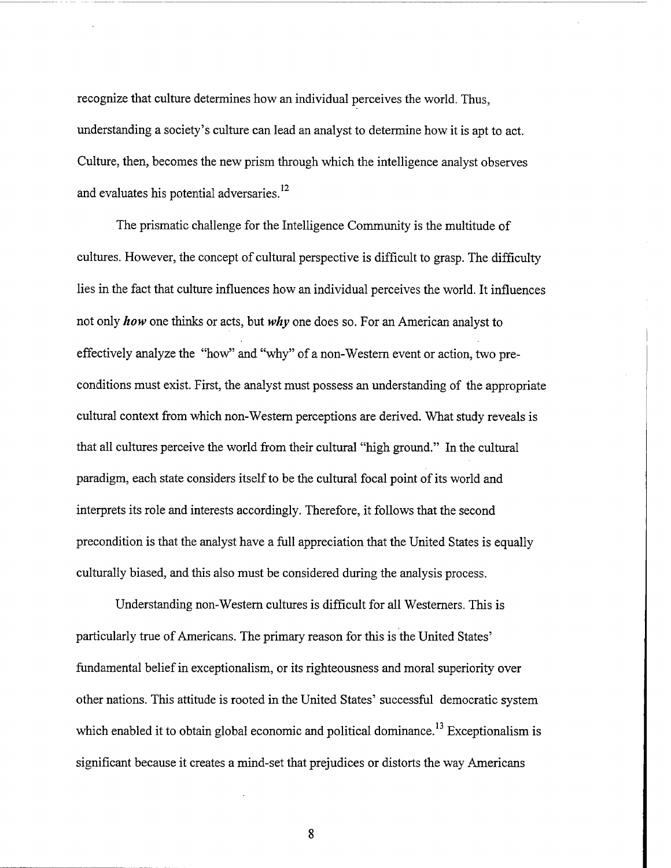recognize that culture determines how an individual perceives the world. Thus, understanding a society's culture can lead an analyst to determine how it is apt to act. Culture, then, becomes the new prism through which the intelligence analyst observes and evaluates his potential adversaries.<sup>12</sup>

The prismatic challenge for the Intelligence Community is the multitude of cultures. However, the concept of cultural perspective is difficult to grasp. The difficulty lies in the fact that culture influences how an individual perceives the world. It influences not only *how* one thinks or acts, but *why* one does so. For an American analyst to effectively analyze the "how" and "why" of a non-Western event or action, two preconditions must exist. First, the analyst must possess an understanding of the appropriate cultural context from which non-Western perceptions are derived. What study reveals is that all cultures perceive the world fiom their cultural "high ground." In the cultural paradigm, each state considers itself to be the cultural focal point of its world and interprets its role and interests accordingly. Therefore, it follows that the second precondition is that the analyst have a full appreciation that the United States is equally culturally biased, and this also must be considered during the analysis process.

Understanding non-Western cultures is difficult for all Westerners. This is particularly true of Americans. The primary reason for this is the United States' fundamental belief in exceptionalism, or its righteousness and moral superiority over other nations. This attitude is rooted in the United States' successful democratic system which enabled it to obtain global economic and political dominance.<sup>13</sup> Exceptionalism is significant because it creates a mind-set that prejudices or distorts the way Americans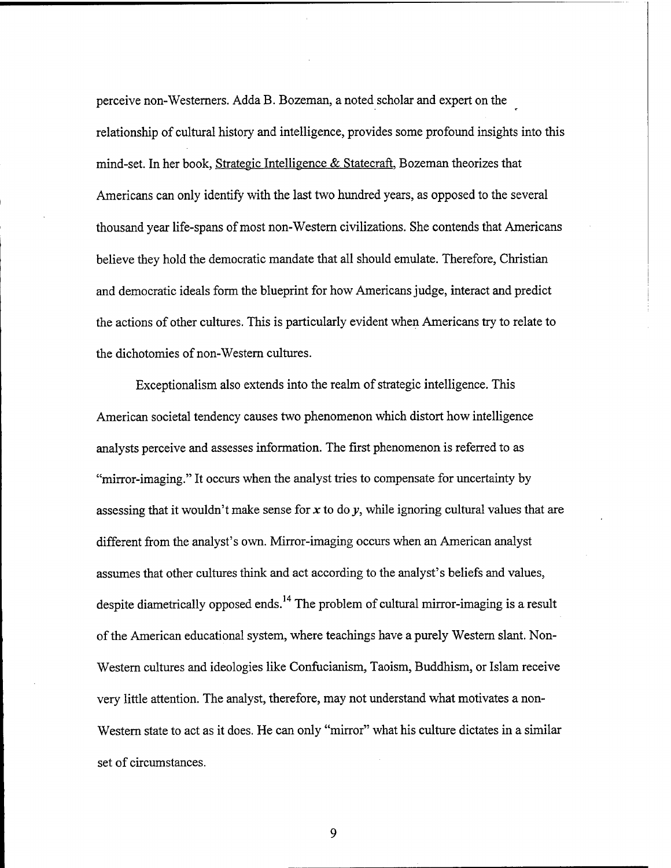perceive non-Westerners. Adda B. Bozeman, a noted scholar and expert on the relationship of cultural history and intelligence, provides some profound insights into this mind-set. In her book, Strategic Intelligence & Statecraft, Bozeman theorizes that Americans can only identify with the last two hundred years, as opposed to the several thousand year life-spans of most non-Western civilizations. She contends that Americans believe they hold the democratic mandate that all should emulate. Therefore, Christian and democratic ideals form the blueprint for how Americans judge, interact and predict the actions of other cultures. This is particularly evident when Americans try to relate to the dichotomies of non-Western cultures.

Exceptionalism also extends into the realm of strategic intelligence. This American societal tendency causes two phenomenon which distort how intelligence analysts perceive and assesses information. The first phenomenon is referred to as "mirror-imaging." It occurs when the analyst tries to compensate for uncertainty by assessing that it wouldn't make sense for **x** to do *y,* while ignoring cultural values that are different from the analyst's own. Mirror-imaging occurs when an American analyst assumes that other cultures think and act according to the analyst's beliefs and values, despite diametrically opposed ends.<sup>14</sup> The problem of cultural mirror-imaging is a result of the American educational system, where teachings have a purely Western slant. Non-Western cultures and ideologies like Confucianism, Taoism, Buddhism, or Islam receive very little attention. The analyst, therefore, may not understand what motivates a non-Western state to act as it does. He can only "mirror" what his culture dictates in a similar set of circumstances.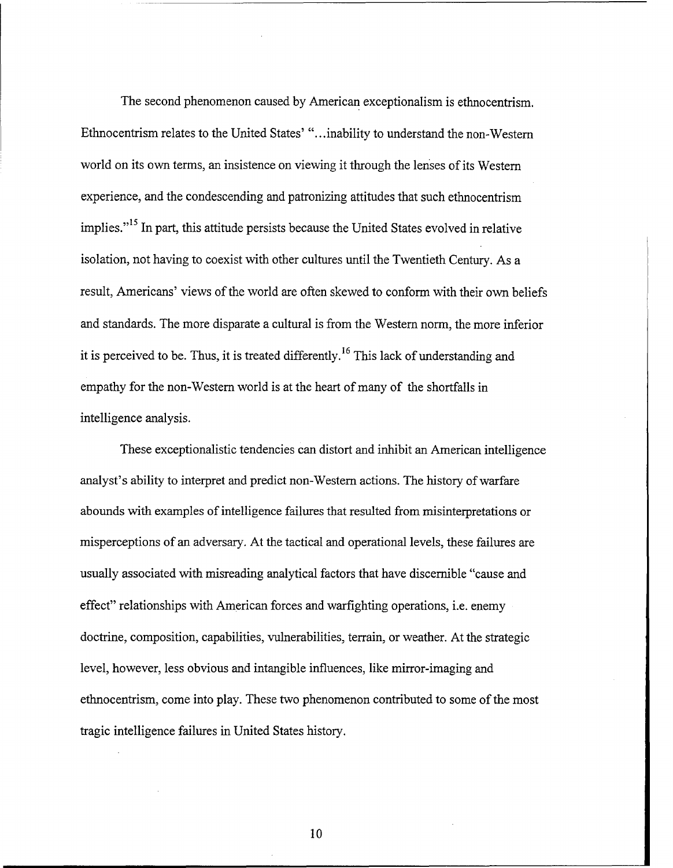The second phenomenon caused by American exceptionalism is ethnocentrism. Ethnocentrism relates to the United States' "...inability to understand the non-Western world on its own terms, an insistence on viewing it through the lenses of its Western experience, and the condescending and patronizing attitudes that such ethnocentrism implies."<sup>15</sup> In part, this attitude persists because the United States evolved in relative isolation, not having to coexist with other cultures until the Twentieth Century. As a result, Americans' views of the world are often skewed to conform with their own beliefs and standards. The more disparate a cultural is from the Western norm, the more inferior it is perceived to be. Thus, it is treated differently,  $16$  This lack of understanding and empathy for the non-Western world is at the heart of many of the shortfalls in intelligence analysis.

These exceptionalistic tendencies can distort and inhibit an American intelligence analyst's ability to interpret and predict non-Western actions. The history of warfare abounds with examples of intelligence failures that resulted from misinterpretations or misperceptions of an adversary. At the tactical and operational levels, these failures are usually associated with misreading analytical factors that have discernible "cause and effect" relationships with American forces and warfighting operations, i.e. enemy doctrine, composition, capabilities, vulnerabilities, terrain, or weather. At the strategic level, however, less obvious and intangible influences, like mirror-imaging and ethnocentrism, come into play. These two phenomenon contributed to some of the most tragic intelligence failures in United States history.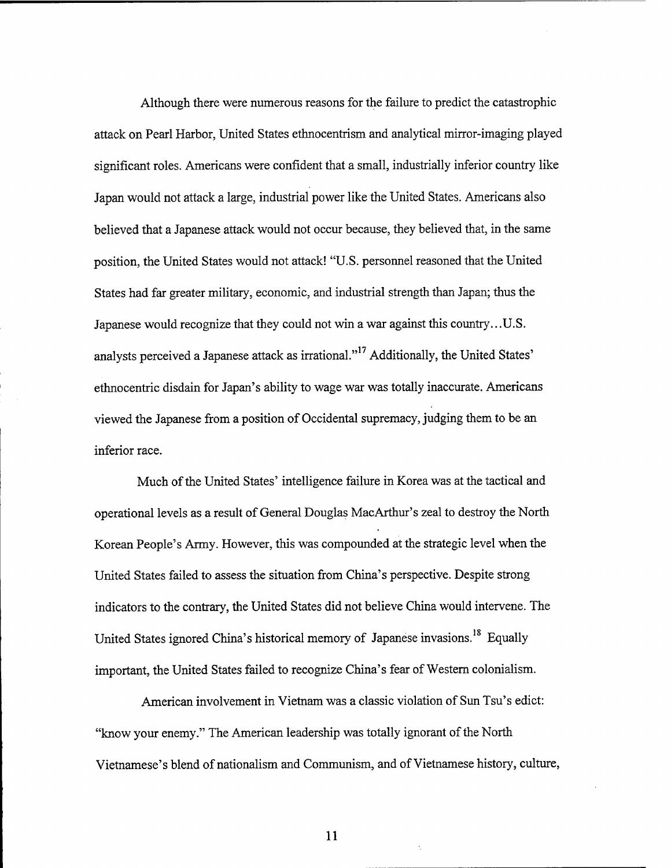Although there were numerous reasons for the failure to predict the catastrophic attack on Pearl Harbor, United States ethnocentrism and analytical mirror-imaging played significant roles. Americans were confident that a small, industrially inferior country like Japan would not attack a large, industrial power like the United States. Americans also believed that a Japanese attack would not occur because, they believed that, in the same position, the United States would not attack! "U.S. personnel reasoned that the United States had far greater military, economic, and industrial strength than Japan; thus the Japanese would recognize that they could not win a war against this country.. .U.S. analysts perceived a Japanese attack as irrational."<sup>17</sup> Additionally, the United States' ethnocentric disdain for Japan's ability to wage war was totally inaccurate. Americans viewed the Japanese fiom a position of Occidental supremacy, judging them to be an inferior race.

Much of the United States' intelligence failure in Korea was at the tactical and operational levels as a result of General Douglas MacArthur's zeal to destroy the North Korean People's Army. However, this was compounded at the strategic level when the United States failed to assess the situation from China's perspective. Despite strong indicators to the contrary, the United States did not believe China would intervene. The United States ignored China's historical memory of Japanese invasions.'' Equally important, the United States failed to recognize China's fear of Western colonialism.

American involvement in Vietnam was a classic violation of Sun Tsu's edict: "know your enemy." The American leadership was totally ignorant of the North Vietnamese's blend of nationalism and Communism, and of Vietnamese history, culture,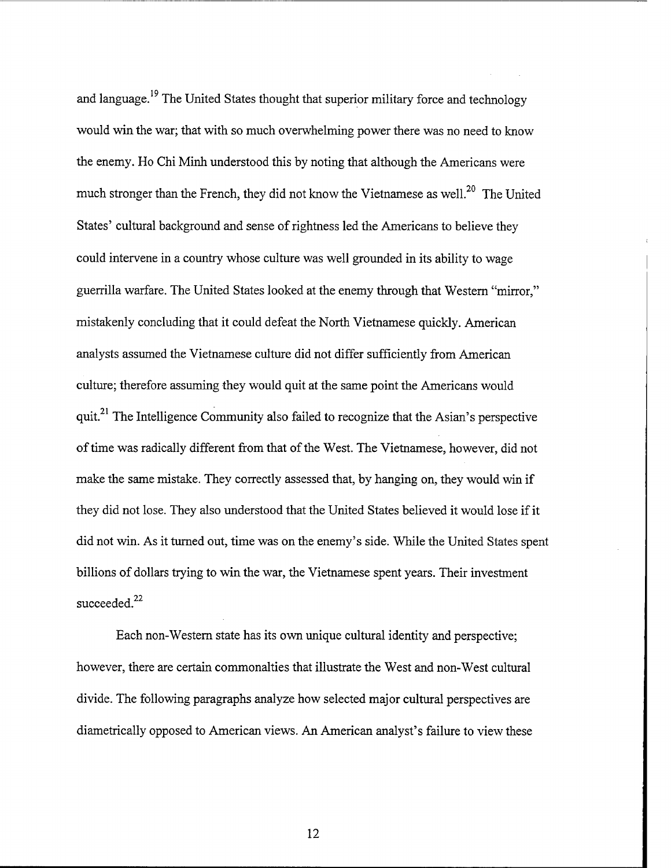and language.<sup>19</sup> The United States thought that superior military force and technology would win the war; that with so much overwhelming power there was no need to know the enemy. Ho Chi Minh understood this by noting that although the Americans were much stronger than the French, they did not know the Vietnamese as well.<sup>20</sup> The United States' cultural background and sense of rightness led the Americans to believe they could intervene in a country whose culture was well grounded in its ability to wage guerrilla warfare. The United States looked at the enemy through that Western "mirror," mistakenly concluding that it could defeat the North Vietnamese quickly. American analysts assumed the Vietnamese culture did not differ sufficiently from American culture; therefore assuming they would quit at the same point the Americans would quit.<sup>21</sup> The Intelligence Community also failed to recognize that the Asian's perspective of time was radically different from that of the West. The Vietnamese, however, did not make the same mistake. They correctly assessed that, by hanging on, they would win if they did not lose. They also understood that the United States believed it would lose if it did not win. As it turned out, time was on the enemy's side. While the United States spent billions of dollars trying to win the war, the Vietnamese spent years. Their investment succeeded.<sup>22</sup>

Each non-Western state has its own unique cultural identity and perspective; however, there are certain commonalties that illustrate the West and non-West cultural divide. The following paragraphs analyze how selected major cultural perspectives are diametrically opposed to American views. An American analyst's failure to view these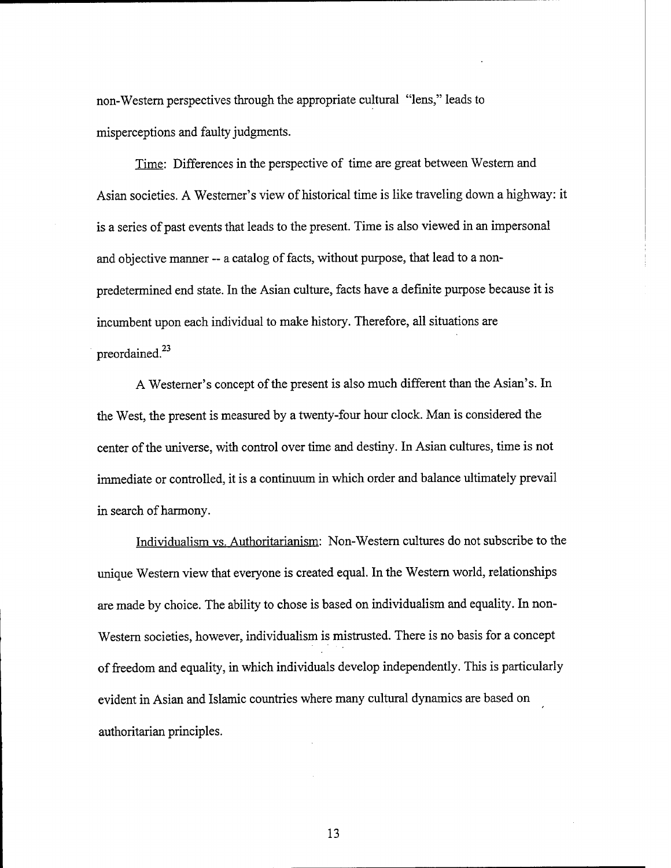non-Western perspectives through the appropriate cultural "lens," leads to misperceptions and faulty judgments.

Time: Differences in the perspective of time are great between Western and Asian societies. A Westerner's view of historical time is like traveling down a highway: it is a series of past events that leads to the present. Time is also viewed in an impersonal and objective manner -- a catalog of facts, without purpose, that lead to a nonpredetermined end state. In the Asian culture, facts have a definite purpose because it is incumbent upon each individual to make history. Therefore, all situations are preordained.<sup>23</sup>

A Westerner's concept of the present is also much different than the Asian's. In the West, the present is measured by a twenty-four hour clock. Man is considered the center of the universe, with control over time and destiny. In Asian cultures, time is not immediate or controlled, it is a continuum in which order and balance ultimately prevail in search of harmony.

Individualism vs. Authoritarianism: Non-Western cultures do not subscribe to the unique Western view that everyone is created equal. In the Western world, relationships are made by choice. The ability to chose is based on individualism and equality. In non-Western societies, however, individualism is mistrusted. There is no basis for a concept of freedom and equality, in which individuals develop independently. This is particularly evident in Asian and Islamic countries where many cultural dynamics are based on authoritarian principles.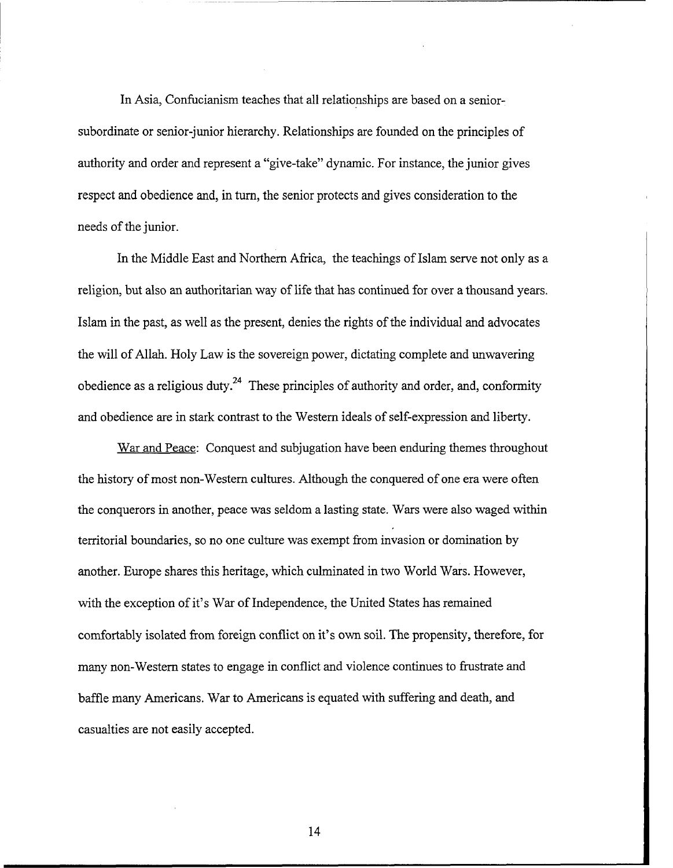In Asia, Confucianism teaches that all relationships are based on a seniorsubordinate or senior-junior hierarchy. Relationships are founded on the principles of authority and order and represent a "give-take" dynamic. For instance, the junior gives respect and obedience and, in turn, the senior protects and gives consideration to the needs of the junior.

In the Middle East and Northern Africa, the teachings of Islam serve not only as a religion, but also an authoritarian way of life that has continued for over a thousand years. Islam in the past, as well as the present, denies the rights of the individual and advocates the will of Allah. Holy Law is the sovereign power, dictating complete and unwavering obedience as a religious duty.<sup>24</sup> These principles of authority and order, and, conformity and obedience are in stark contrast to the Western ideals of self-expression and liberty.

War and Peace: Conquest and subjugation have been enduring themes throughout the history of most non-Western cultures. Although the conquered of one era were often the conquerors in another, peace was seldom a lasting state. Wars were also waged within temtorial boundaries, so no one culture was exempt from invasion or domination by another. Europe shares this heritage, which culminated in two World Wars. However, with the exception of it's War of Independence, the United States has remained comfortably isolated fiom foreign conflict on it's own soil. The propensity, therefore, for many non-Western states to engage in conflict and violence continues to frustrate and baffle many Americans. War to Americans is equated with suffering and death, and casualties are not easily accepted.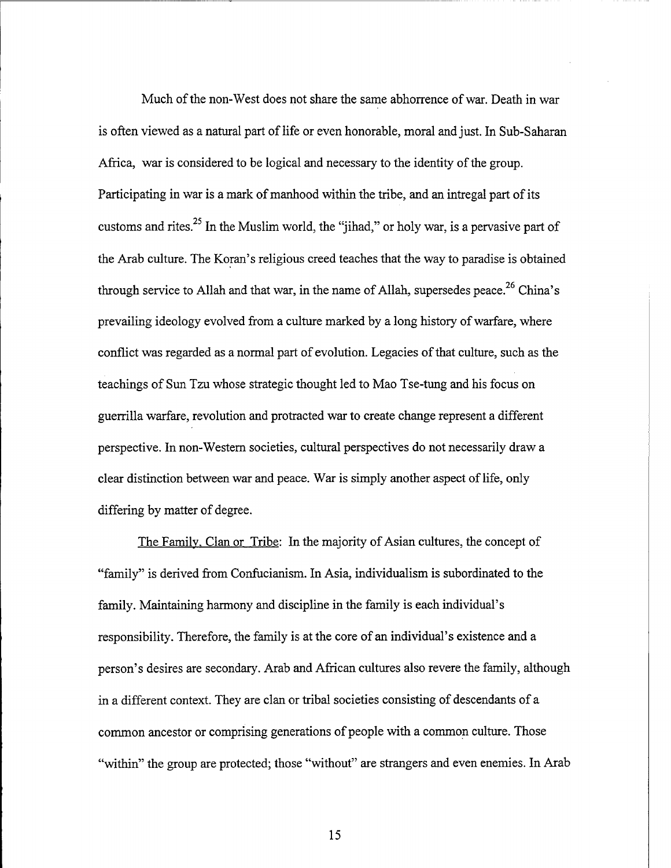Much of the non-West does not share the same abhorrence of war. Death in war is often viewed as a natural part of life or even honorable, moral and just. In Sub-Saharan Africa, war is considered to be logical and necessary to the identity of the group. Participating in war is a mark of manhood within the tribe, and an intregal part of its customs and rites.<sup>25</sup> In the Muslim world, the "jihad," or holy war, is a pervasive part of the Arab culture. The Koran's religious creed teaches that the way to paradise is obtained through service to Allah and that war, in the name of Allah, supersedes peace.<sup>26</sup> China's prevailing ideology evolved from a culture marked by a long history of warfare, where conflict was regarded as a normal part of evolution. Legacies of that culture, such as the teachings of Sun Tzu whose strategic thought led to Mao Tse-tung and his focus on guerrilla warfare, revolution and protracted war to create change represent a different perspective. In non-Western societies, cultural perspectives do not necessarily draw a clear distinction between war and peace. War is simply another aspect of life, only differing by matter of degree.

The Family, Clan or Tribe: In the majority of Asian cultures, the concept of "family" is derived from Confucianism. In Asia, individualism is subordinated to the family. Maintaining harmony and discipline in the family is each individual's responsibility. Therefore, the family is at the core of an individual's existence and a person's desires are secondary. Arab and African cultures also revere the family, although in a different context. They are clan or tribal societies consisting of descendants of a common ancestor or comprising generations of people with a common culture. Those "within" the group are protected; those "without" are strangers and even enemies. In Arab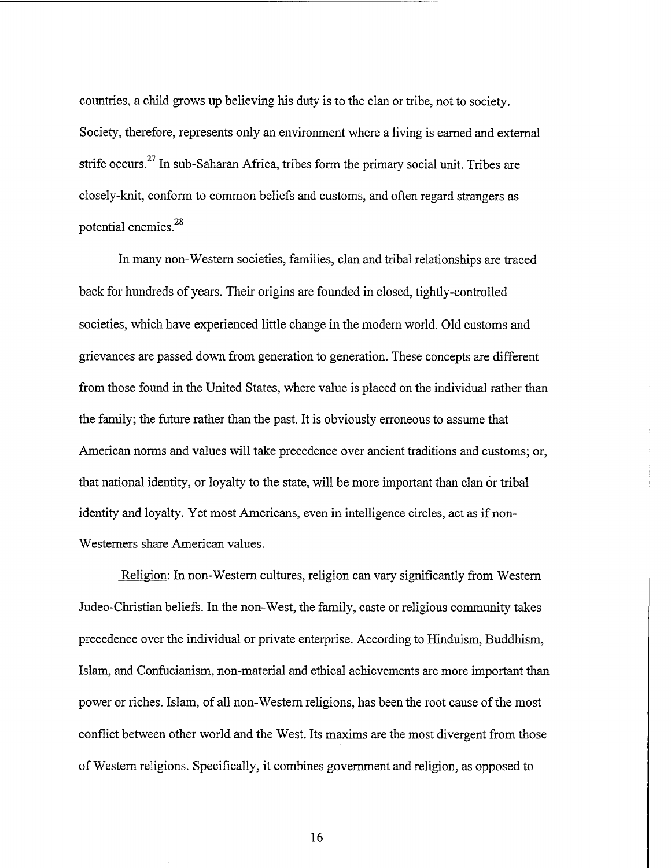countries, a child grows up believing his duty is to the clan or tribe, not to society. Society, therefore, represents only an environment where a living is earned and external strife occurs.27 In sub-Saharan Africa, tribes form the primary social unit. Tribes are closely-knit, conform to common beliefs and customs, and often regard strangers as potential enemies.<sup>28</sup>

In many non-Western societies, families, clan and tribal relationships are traced back for hundreds of years. Their origins are founded in closed, tightly-controlled societies, which have experienced little change in the modem world. Old customs and grievances are passed down fiom generation to generation. These concepts are different from those found in the United States, where value is placed on the individual rather than the family; the future rather than the past. It is obviously erroneous to assume that American norms and values will take precedence over ancient traditions and customs; or, that national identity, or loyalty to the state, will be more important than clan or tribal identity and loyalty. Yet most Americans, even in intelligence circles, act as if non-Westerners share American values.

Religion: In non-Western cultures, religion can vary significantly from Western Judeo-Christian beliefs. In the non-West, the family, caste or religious community takes precedence over the individual or private enterprise. According to Hinduism, Buddhism, Islam, and Confucianism, non-material and ethical achievements are more important than power or riches. Islam, of all non-Western religions, has been the root cause of the most conflict between other world and the West. Its maxims are the most divergent fiom those of Western religions. Specifically, it combines government and religion, as opposed to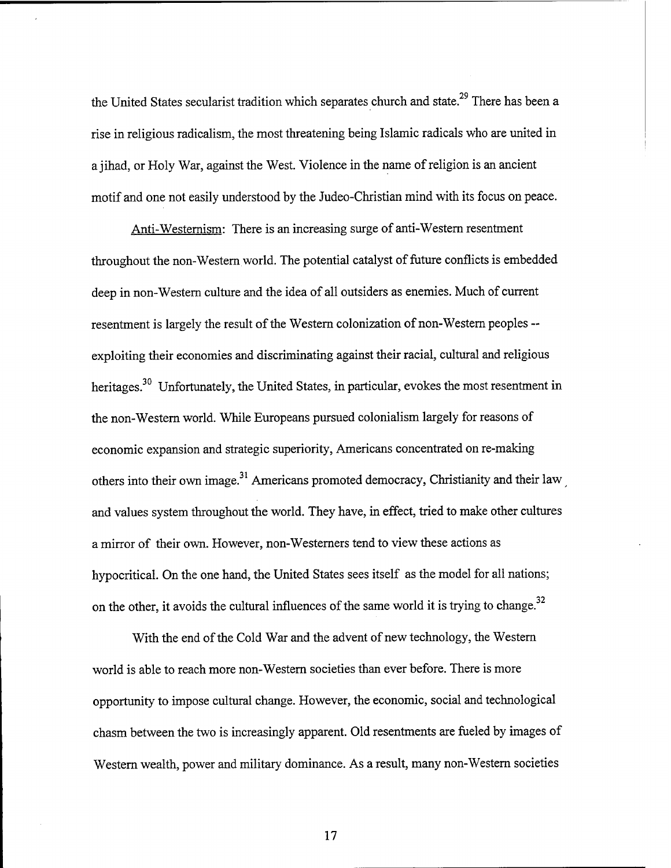the United States secularist tradition which separates church and state.<sup>29</sup> There has been a rise in religious radicalism, the most threatening being Islamic radicals who are united in a jihad, or Holy War, against the West. Violence in the name of religion is an ancient motif and one not easily understood by the Judeo-Christian mind with its focus on peace.

Anti-Westernism: There is an increasing surge of anti-Western resentment throughout the non-Western world. The potential catalyst of future conflicts is embedded deep in non-Western culture and the idea of all outsiders as enemies. Much of current resentment is largely the result of the Western colonization of non-Western peoples - exploiting their economies and discriminating against their racial, cultural and religious heritages.<sup>30</sup> Unfortunately, the United States, in particular, evokes the most resentment in the non-Western world. While Europeans pursued colonialism largely for reasons of economic expansion and strategic superiority, Americans concentrated on re-making others into their own image.<sup>31</sup> Americans promoted democracy, Christianity and their law and values system throughout the world. They have, in effect, tried to make other cultures a mirror of their own. However, non-Westerners tend to view these actions as hypocritical. On the one hand, the United States sees itself as the model for all nations; on the other, it avoids the cultural influences of the same world it is trying to change. **<sup>32</sup>**

With the end of the Cold War and the advent of new technology, the Western world is able to reach more non-Western societies than ever before. There is more opportunity to impose cultural change. However, the economic, social and technological chasm between the two is increasingly apparent. Old resentments are fueled by images of Western wealth, power and military dominance. As a result, many non-Western societies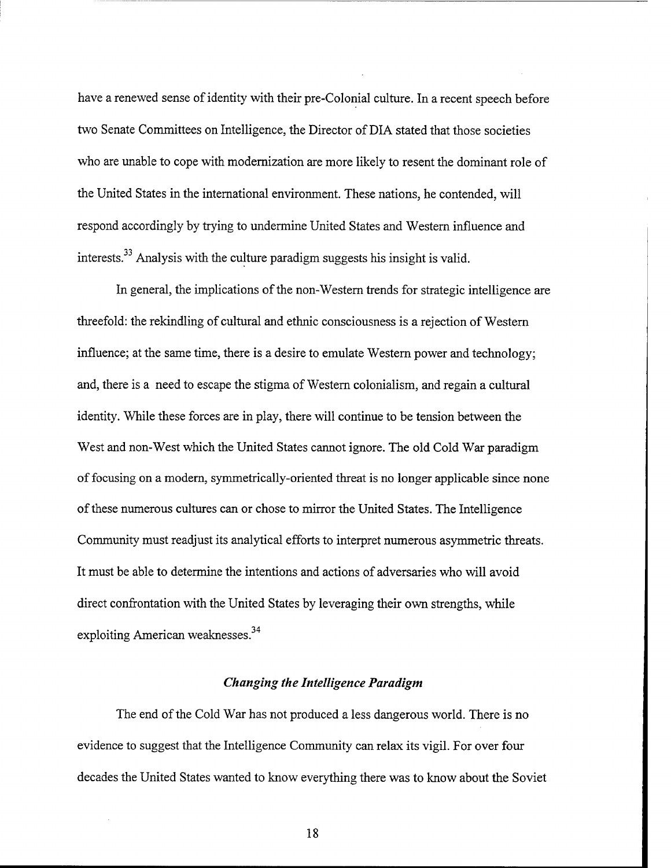have a renewed sense of identity with their pre-Colonial culture. In a recent speech before two Senate Committees on Intelligence, the Director of DIA stated that those societies who are unable to cope with modernization are more likely to resent the dominant role of the United States in the international environment. These nations, he contended, will respond accordingly by trying to undermine United States and Western influence and interests.33 Analysis with the culture paradigm suggests his insight is valid.

In general, the implications of the non-Western trends for strategic intelligence are threefold: the rekindling of cultural and ethnic consciousness is a rejection of Western influence; at the same time, there is a desire to emulate Western power and technology; and, there is a need to escape the stigma of Western colonialism, and regain a cultural identity. While these forces are in play, there will continue to be tension between the West and non-West which the United States cannot ignore. The old Cold War paradigm of focusing on a modern, symmetrically-oriented threat is no longer applicable since none of these numerous cultures can or chose to mirror the United States. The Intelligence Community must readjust its analytical efforts to interpret numerous asymmetric threats. It must be able to determine the intentions and actions of adversaries who will avoid direct confrontation with the United States by leveraging their own strengths, while exploiting American weaknesses. $^{34}$ 

### *Changing the Intelligence Paradigm*

The end of the Cold War has not produced a less dangerous world. There is no evidence to suggest that the Intelligence Community can relax its vigil. For over four decades the United States wanted to know everything there was to know about the Soviet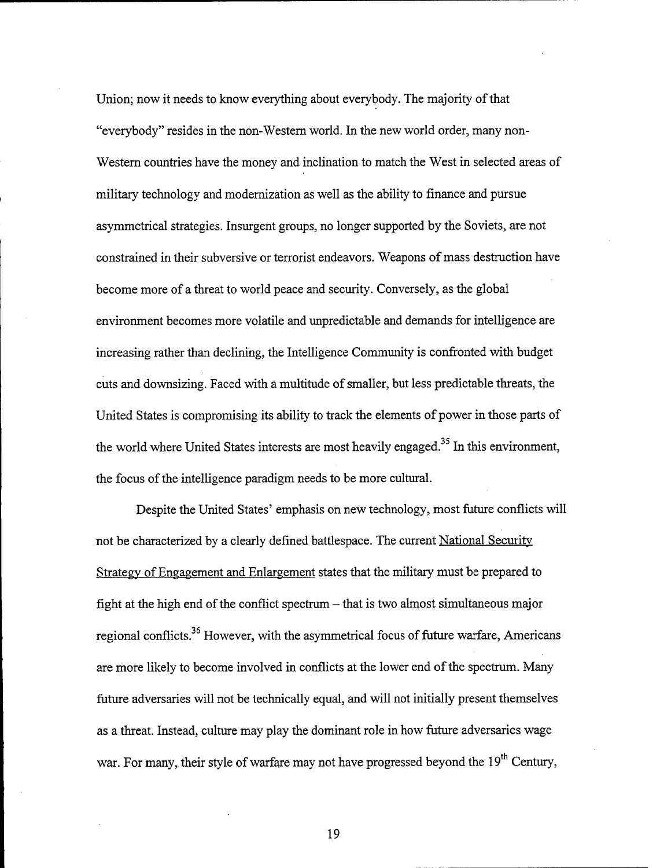Union; now it needs to know everything about everybody. The majority of that "everybody" resides in the non-Western world. In the new world order, many non-Western countries have the money and inclination to match the West in selected areas of military technology and modernization as well as the ability to finance and pursue asymmetrical strategies. Insurgent groups, no longer supported by the Soviets, are not constrained in their subversive or terrorist endeavors. Weapons of mass destruction have become more of a threat to world peace and security. Conversely, as the global environment becomes more volatile and unpredictable and demands for intelligence are increasing rather than declining, the Intelligence Community is confronted with budget cuts and downsizing. Faced with a multitude of smaller, but less predictable threats, the United States is compromising its ability to track the elements of power in those parts of the world where United States interests are most heavily engaged.<sup>35</sup> In this environment, the focus of the intelligence paradigm needs to be more cultural.

Despite the United States' emphasis on new technology, most future conflicts will not be characterized by a clearly defined battlespace. The current National Security Strategv of Engagement and Enlargement states that the military must be prepared to fight at the high end of the conflict spectrum  $-$  that is two almost simultaneous major regional conflicts.<sup>36</sup> However, with the asymmetrical focus of future warfare, Americans are more likely to become involved in conflicts at the lower end of the spectrum. Many future adversaries will not be technically equal, and will not initially present themselves as a threat. Instead, culture may play the dominant role in how future adversaries wage war. For many, their style of warfare may not have progressed beyond the 19<sup>th</sup> Century,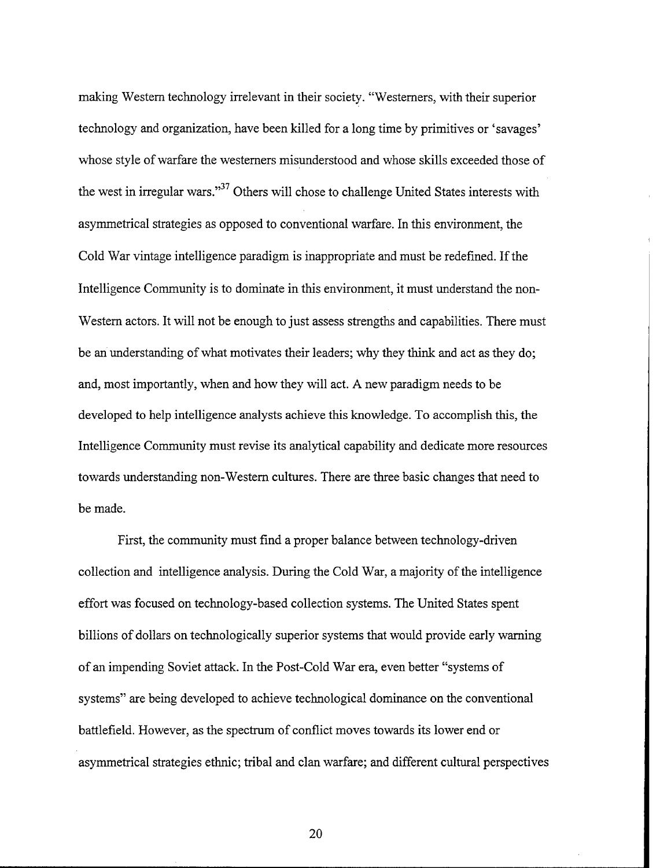making Western technology irrelevant in their society. "Westerners, with their superior technology and organization, have been killed for a long time by primitives or 'savages' whose style of warfare the Westerners misunderstood and whose skills exceeded those of the west in irregular wars."<sup>37</sup> Others will chose to challenge United States interests with asymmetrical strategies as opposed to conventional warfare. In this environment, the Cold War vintage intelligence paradigm is inappropriate and must be redefined. If the Intelligence Community is to dominate in this environment, it must understand the non-Western actors. It will not be enough to just assess strengths and capabilities. There must be an understanding of what motivates their leaders; why they think and act as they do; and, most importantly, when and how they will act. A new paradigm needs to be developed to help intelligence analysts achieve this knowledge. To accomplish this, the Intelligence Community must revise its analytical capability and dedicate more resources towards understanding non-Western cultures. There are three basic changes that need to be made.

First, the community must find a proper balance between technology-driven collection and intelligence analysis. During the Cold War, a majority of the intelligence effort was focused on technology-based collection systems. The United States spent billions of dollars on technologically superior systems that would provide early warning of an impending Soviet attack. In the Post-Cold War era, even better "systems of systems" are being developed to achieve technological dominance on the conventional battlefield. However, as the spectrum of conflict moves towards its lower end or asymmetrical strategies ethnic; tribal and clan warfare; and different cultural perspectives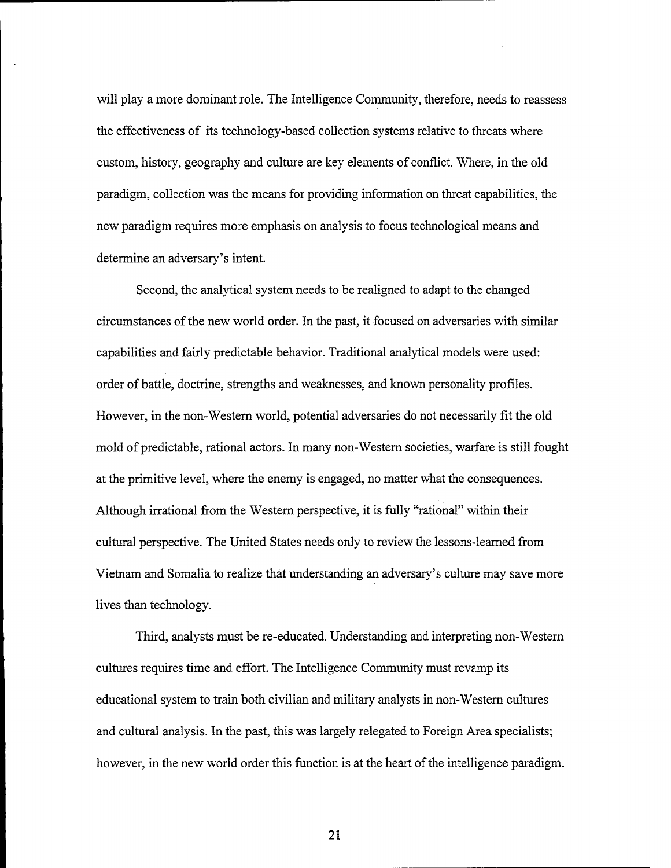will play a more dominant role. The Intelligence Community, therefore, needs to reassess the effectiveness of its technology-based collection systems relative to threats where custom, history, geography and culture are key elements of conflict. Where, in the old paradigm, collection was the means for providing information on threat capabilities, the new paradigm requires more emphasis on analysis to focus technological means and determine an adversary's intent.

Second, the analytical system needs to be realigned to adapt to the changed circumstances of the new world order. In the past, it focused on adversaries with similar capabilities and fairly predictable behavior. Traditional analytical models were used: order of battle, doctrine, strengths and weaknesses, and known personality profiles. However, in the non-Western world, potential adversaries do not necessarily fit the old mold of predictable, rational actors. In many non-Western societies, warfare is still fought at the primitive level, where the enemy is engaged, no matter what the consequences. Although irrational from the Western perspective, it is fully "rational" within their cultural perspective. The United States needs only to review the lessons-learned from Vietnam and Somalia to realize that understanding an adversary's culture may save more lives than technology.

Third, analysts must be re-educated. Understanding and interpreting non-Western cultures requires time and effort. The Intelligence Community must revamp its educational system to train both civilian and military analysts in non-Western cultures and cultural analysis. In the past, this was largely relegated to Foreign Area specialists; however, in the new world order this function is at the heart of the intelligence paradigm.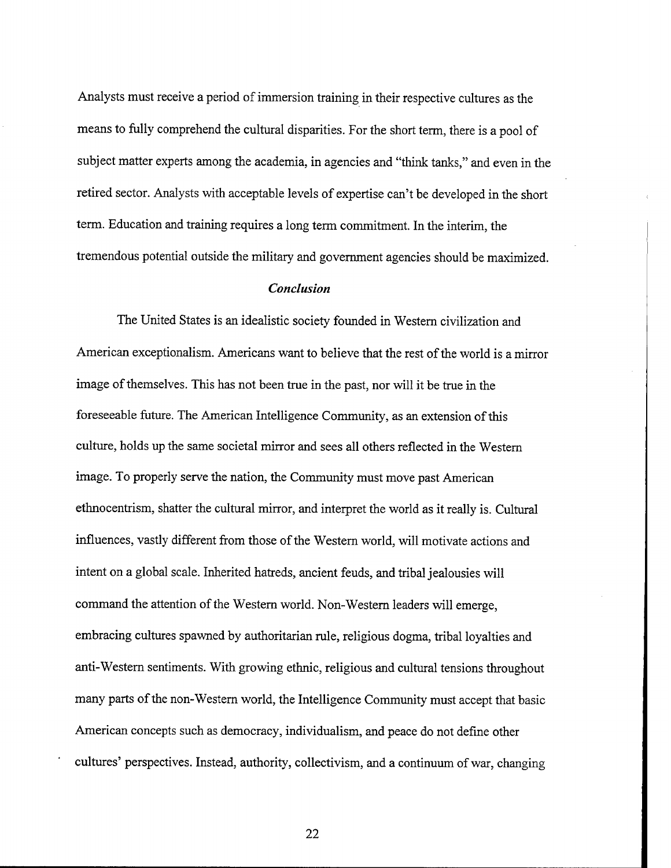Analysts must receive a period of immersion training in their respective cultures as the means to fully comprehend the cultural disparities. For the short term, there is a pool of subject matter experts among the academia, in agencies and "think tanks," and even in the retired sector. Analysts with acceptable levels of expertise can't be developed in the short term. Education and training requires a long term commitment. In the interim, the tremendous potential outside the military and government agencies should be maximized.

### *Conclusion*

The United States is an idealistic society founded in Western civilization and American exceptionalism. Americans want to believe that the rest of the world is a mirror image of themselves. This has not been true in the past, nor will it be true in the foreseeable hture. The American Intelligence Community, as an extension of this culture, holds up the same societal mirror and sees all others reflected in the Western image. To properly serve the nation, the Community must move past American ethnocentrism, shatter the cultural mirror, and interpret the world as it really is. Cultural influences, vastly different from those of the Western world, will motivate actions and intent on a global scale. Inherited hatreds, ancient feuds, and tribal jealousies will command the attention of the Western world. Non-Western leaders will emerge, embracing cultures spawned by authoritarian rule, religious dogma, tribal loyalties and anti-Western sentiments. With growing ethnic, religious and cultural tensions throughout many parts of the non-Western world, the Intelligence Community must accept that basic American concepts such as democracy, individualism, and peace do not define other cultures' perspectives. Instead, authority, collectivism, and a continuum of war, changing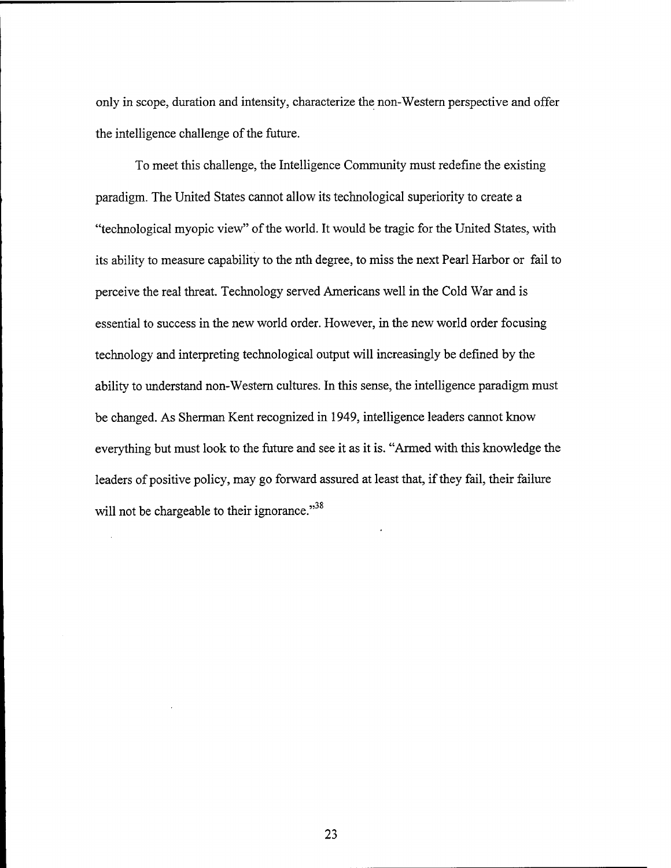only in scope, duration and intensity, characterize the non-Western perspective and offer the intelligence challenge of the future.

To meet this challenge, the Intelligence Community must redefine the existing paradigm. The United States cannot allow its technological superiority to create a "technological myopic view" of the world. It would be tragic for the United States, with its ability to measure capability to the nth degree, to miss the next Pearl Harbor or fail to perceive the real threat. Technology served Americans well in the Cold War and is essential to success in the new world order. However, in the new world order focusing technology and interpreting technological output will increasingly be defined by the ability to understand non-Western cultures. In this sense, the intelligence paradigm must be changed. As Sherman Kent recognized in 1949, intelligence leaders cannot know everything but must look to the future and see it as it is. "Armed with this knowledge the leaders of positive policy, may go forward assured at least that, if they fail, their failure will not be chargeable to their ignorance."<sup>38</sup>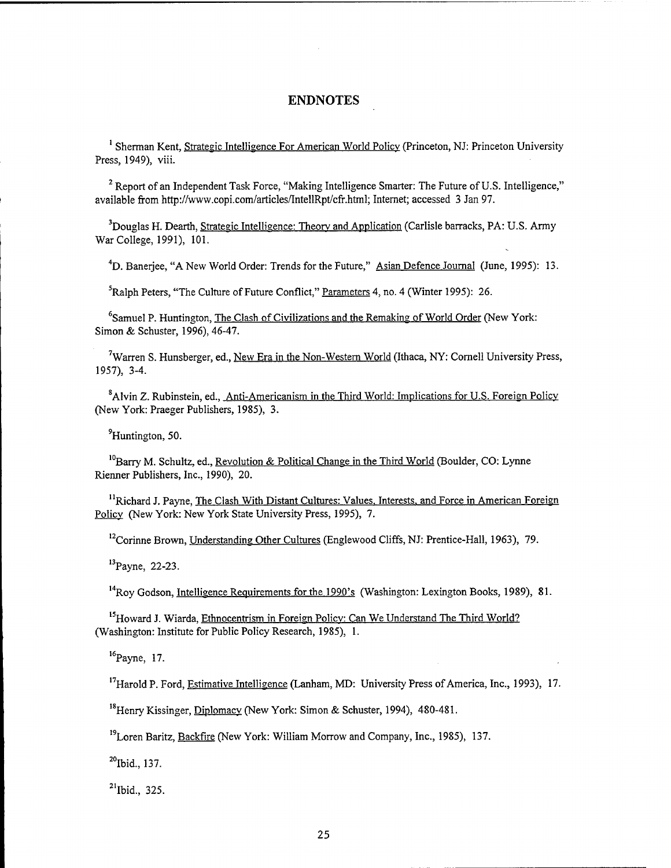### **ENDNOTES**

<sup>1</sup> Sherman Kent, Strategic Intelligence For American World Policy (Princeton, NJ: Princeton University Press, 1949), viii.

<sup>2</sup> Report of an Independent Task Force, "Making Intelligence Smarter: The Future of U.S. Intelligence," available from http://www.copi.com/articles/IntellRpt/cfr.html; Internet; accessed 3 Jan 97.

**<sup>3</sup>**Douglas H. Dearth, Strategic Intelligence: Theory and Application (Carlisle barracks, PA: U.S. Army War College, 1991), 101.

<sup>4</sup>D. Banerjee, "A New World Order: Trends for the Future," Asian Defence Journal (June, 1995): 13.

<sup>5</sup>Ralph Peters, "The Culture of Future Conflict," Parameters 4, no. 4 (Winter 1995): 26.

<sup>6</sup>Samuel P. Huntington, The Clash of Civilizations and the Remaking of World Order (New York: Simon & Schuster, 1996), 46-47.

<sup>7</sup>Warren S. Hunsberger, ed., New Era in the Non-Western World (Ithaca, NY: Cornell University Press, 1957), 3-4.

<sup>8</sup> Alvin Z. Rubinstein, ed., Anti-Americanism in the Third World: Implications for U.S. Foreign Policy (New York: Praeger Publishers, 1985), 3.

<sup>9</sup> Huntington, 50.

<sup>10</sup> Barry M. Schultz, ed., Revolution & Political Change in the Third World (Boulder, CO: Lynne Rienner Publishers, Inc., 1990), 20.

<sup>11</sup> Richard J. Payne, The Clash With Distant Cultures: Values, Interests, and Force in American Foreign Policy (New York: New York State University Press, 1995), 7.

<sup>12</sup> Corinne Brown, Understanding Other Cultures (Englewood Cliffs, NJ: Prentice-Hall, 1963), 79.

<sup>13</sup> Payne, 22-23.

 $14$  Roy Godson, Intelligence Requirements for the 1990's (Washington: Lexington Books, 1989), 81.

<sup>15</sup> Howard J. Wiarda, Ethnocentrism in Foreign Policy: Can We Understand The Third World? (Washington: Institute for Public Policy Research, 1985), 1.

 $16$ Payne, 17.

 $17$ Harold P. Ford, Estimative Intelligence (Lanham, MD: University Press of America, Inc., 1993), 17.

<sup>18</sup> Henry Kissinger, Diplomacy (New York: Simon & Schuster, 1994), 480-481.

<sup>19</sup> Loren Baritz, Backfire (New York: William Morrow and Company, Inc., 1985), 137.

 $20$  Ibid., 137.

 $^{21}$ Ibid., 325.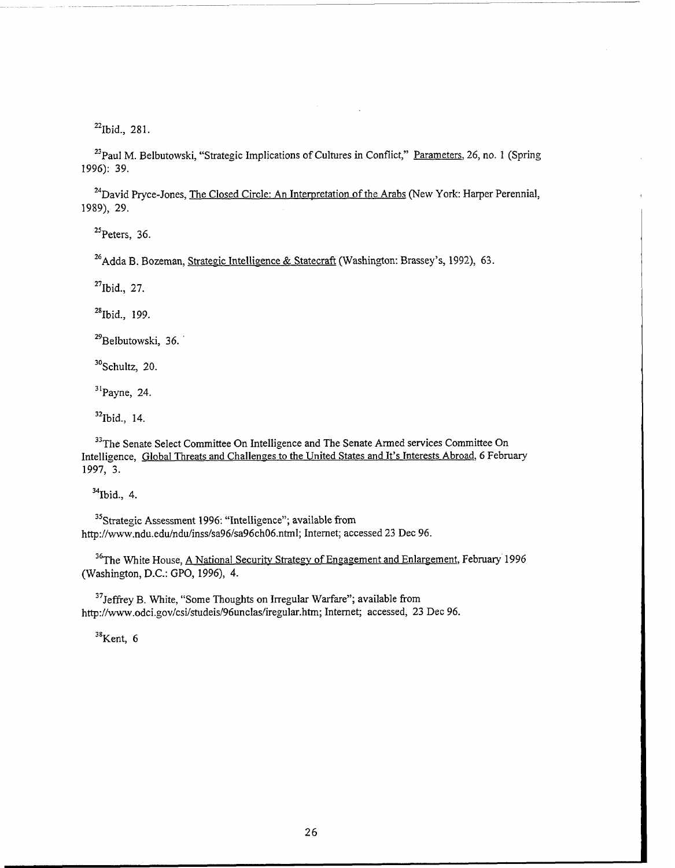$^{22}$ Ibid., 281.

 $^{23}$ Paul M. Belbutowski, "Strategic Implications of Cultures in Conflict," Parameters, 26, no. 1 (Spring 1996): 39.

**<sup>24</sup>**David Pryce-Jones, The Closed Circle: An Interpretation of the Arabs (New York: Harper Perennial, 1989), 29.

 $^{25}$ Peters, 36.

 $26$ Adda B. Bozeman, Strategic Intelligence & Statecraft (Washington: Brassey's, 1992), 63.

**<sup>27</sup>**Ibid., 27.

**<sup>28</sup>**Ibid., 199.

<sup>29</sup> Belbutowski, 36.

**<sup>30</sup>**Schultz, 20.

**<sup>3</sup><sup>1</sup>**Payne, 24.

**<sup>32</sup>**Ibid., 14.

<sup>33</sup>The Senate Select Committee On Intelligence and The Senate Armed services Committee On Intelligence, Global Threats and Challenges to the United States and It's Interests Abroad, 6 February 1997, 3.

**<sup>34</sup>**Ibid., 4.

<sup>35</sup> Strategic Assessment 1996: "Intelligence"; available from http://www.ndu.edu/ndu/inss/sa96/sa96ch06.ntml; Internet; accessed 23 Dec 96.

<sup>36</sup> The White House, A National Security Strategy of Engagement and Enlargement, February 1996 (Washington, D.C.: GPO, 1996), 4.

**<sup>37</sup>**Jeffrey B. White, "Some Thoughts on Irregular Warfare"; available from http://www.odci.gov/csi/studeis/96unclas/iregular.htm; Internet; accessed, 23 Dec 96.

**<sup>38</sup>**Kent, *6*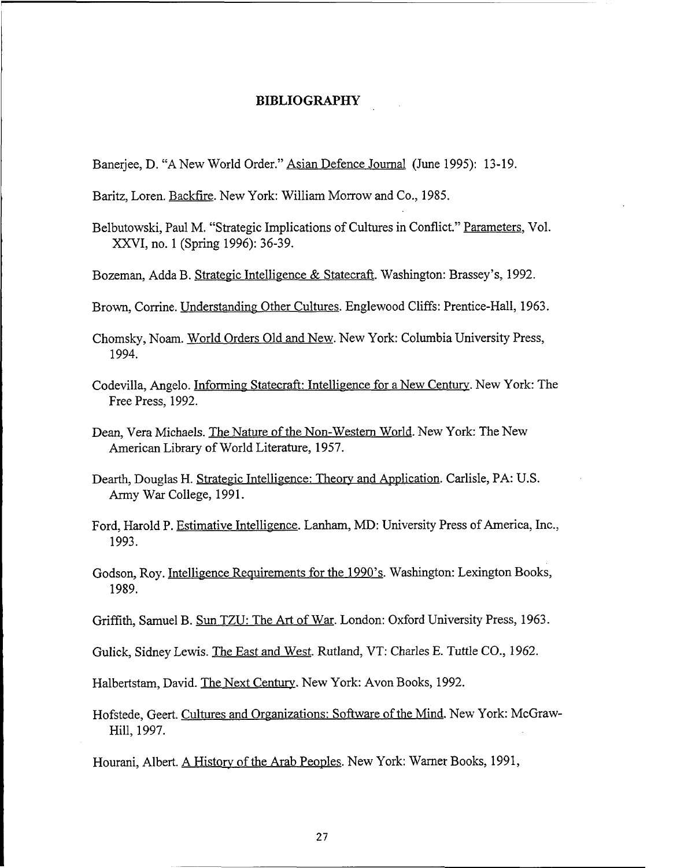#### **BIBLIOGRAPHY**

Banerjee, D. "A New World Order." Asian Defence Journal (June 1995): 13-19.

Baritz, Loren. Backfire. New York: William Morrow and Co., 1985.

- Belbutowski, Paul M. "Strategic Implications of Cultures in Conflict." Parameters, Vol. XYVI, no. 1 (Spring 1996): 36-39.
- Bozeman, Adda B. Strategic Intelligence & Statecraft. Washington: Brassey's, 1992.
- Brown, Corrine. Understanding Other Cultures. Englewood Cliffs: Prentice-Hall, 1963.
- Chomsky, Noam. World Orders Old and New. New York: Columbia University Press, 1994.
- Codevilla, Angelo. Informing Statecraft: Intelligence for a New Century. New York: The Free Press, 1992.
- Dean, Vera Michaels. The Nature of the Non-Western World. New York: The New American Library of World Literature, 1957.
- Dearth, Douglas H. Strategic Intelligence: Theory and Apdication. Carlisle, PA: U.S. Army War College, 1991.
- Ford, Harold P. Estimative Intelligence. Lanham, MD: University Press of America, Inc., 1993.
- Godson, Roy. Intelligence Requirements for the 1990's. Washington: Lexington Books, 1989.
- Griffith, Samuel B. Sun TZU: The **Art** of War. London: Oxford University Press, 1963.
- Gulick, Sidney Lewis. The East and West. Rutland, VT: Charles E. Tuttle CO., 1962.

Halbertstam, David. The Next Century. New York: Avon Books, 1992.

Hofstede, Geert. Cultures and Organizations: Software of the Mind. New York: McGraw-Hill, 1997.

Hourani, Albert. A History of the Arab Peoples. New York: Warner Books, 1991,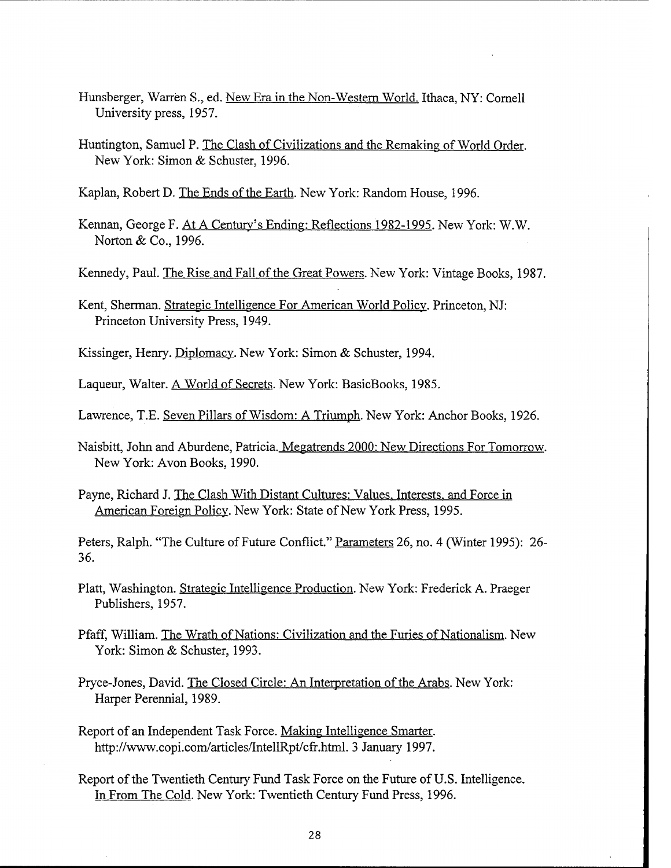- Hunsberger, Warren S., ed. New Era in the Non-Western World. Ithaca, NY: Cornell University press, 1957.
- Huntington, Samuel P. The Clash of Civilizations and the Remaking of World Order. New York: Simon & Schuster, 1996.

Kaplan, Robert D. The Ends of the Earth. New York: Random House, 1996.

- Kennan, George F. At A Century's Ending: Reflections 1982-1995. New York: W.W. Norton & Co., 1996.
- Kennedy, Paul. The Rise and Fall of the Great Powers. New York: Vintage Books, 1987.
- Kent, Sherman. Strategic Intelligence For American World Policy. Princeton, NJ: Princeton University Press, 1949.
- Kissinger, Henry. Diplomacy. New York: Simon & Schuster, 1994.
- Laqueur, Walter. A World of Secrets. New York: BasicBooks, 1985.
- Lawrence, T.E. Seven Pillars of Wisdom: A Triumph. New York: Anchor Books, 1926.
- Naisbitt, John and Aburdene, Patricia. Megatrends 2000: New Directions For Tomorrow. New York: Avon Books, 1990.
- Payne, Richard J. The Clash With Distant Cultures: Values, Interests, and Force in American Foreign Policy. New York: State of New York Press, 1995.
- Peters, Ralph. "The Culture of Future Conflict." Parameters 26, no. 4 (Winter 1995): 26-36.
- Platt, Washington. Strategic Intelligence Production. New York: Frederick A. Praeger Publishers, 1957.
- Pfaff, William. The Wrath of Nations: Civilization and the Furies of Nationalism. New York: Simon & Schuster, 1993.
- Pryce-Jones, David. The Closed Circle: An Interpretation of the Arabs. New York: Harper Perennial, 1989.
- Report of an Independent Task Force. Making Intelligence Smarter. http://www.copi.com/articles/IntellRpt/cfr.html. 3 January 1997.
- Report of the Twentieth Century Fund Task Force on the Future of U.S. Intelligence. In From The Cold. New York: Twentieth Century Fund Press, 1996.